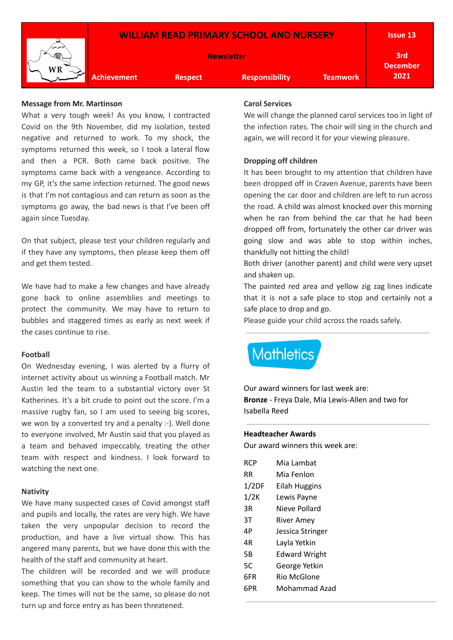

#### **Message from Mr. Martinson**

What a very tough week! As you know, I contracted Covid on the 9th November, did my isolation, tested negative and returned to work. To my shock, the symptoms returned this week, so I took a lateral flow and then a PCR. Both came back positive. The symptoms came back with a vengeance. According to my GP, it's the same infection returned. The good news is that I'm not contagious and can return as soon as the symptoms go away, the bad news is that I've been off again since Tuesday.

On that subject, please test your children regularly and if they have any symptoms, then please keep them off and get them tested.

We have had to make a few changes and have already gone back to online assemblies and meetings to protect the community. We may have to return to bubbles and staggered times as early as next week if the cases continue to rise.

#### **Football**

On Wednesday evening, I was alerted by a flurry of internet activity about us winning a Football match. Mr Austin led the team to a substantial victory over St Katherines. It's a bit crude to point out the score. I'm a massive rugby fan, so I am used to seeing big scores, we won by a converted try and a penalty :-). Well done to everyone involved, Mr Austin said that you played as a team and behaved impeccably, treating the other team with respect and kindness. I look forward to watching the next one.

#### **Nativity**

We have many suspected cases of Covid amongst staff and pupils and locally, the rates are very high. We have taken the very unpopular decision to record the production, and have a live virtual show. This has angered many parents, but we have done this with the health of the staff and community at heart.

The children will be recorded and we will produce something that you can show to the whole family and keep. The times will not be the same, so please do not turn up and force entry as has been threatened.

#### **Carol Services**

We will change the planned carol services too in light of the infection rates. The choir will sing in the church and again, we will record it for your viewing pleasure.

#### **Dropping off children**

It has been brought to my attention that children have been dropped off in Craven Avenue, parents have been opening the car door and children are left to run across the road. A child was almost knocked over this morning when he ran from behind the car that he had been dropped off from, fortunately the other car driver was going slow and was able to stop within inches, thankfully not hitting the child!

Both driver (another parent) and child were very upset and shaken up.

The painted red area and yellow zig zag lines indicate that it is not a safe place to stop and certainly not a safe place to drop and go.

Please guide your child across the roads safely.

# **Mathletics**

Our award winners for last week are: **Bronze** - Freya Dale, Mia Lewis-Allen and two for Isabella Reed

#### **Headteacher Awards**

Our award winners this week are:

| RCP   | Mia Lambat           |
|-------|----------------------|
| RR    | Mia Fenlon           |
| 1/2DF | Eilah Huggins        |
| 1/2K  | Lewis Payne          |
| 3R    | Nieve Pollard        |
| 3T    | River Amey           |
| 4Р    | Jessica Stringer     |
| 4R    | Layla Yetkin         |
| 5B    | <b>Edward Wright</b> |
| 5C    | George Yetkin        |
| 6FR   | Rio McGlone          |
| 6PR   | Mohammad Azad        |
|       |                      |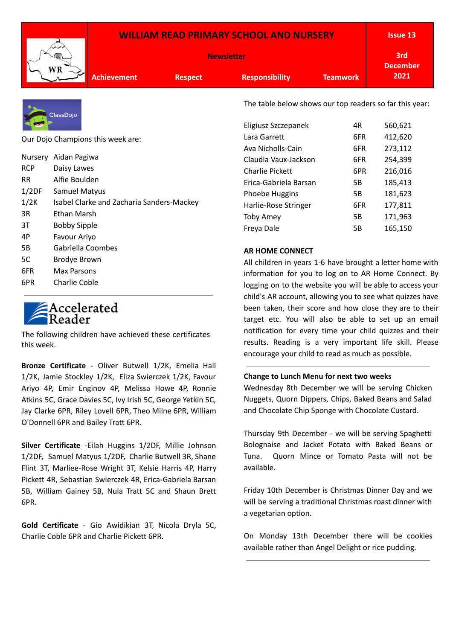|                    | <b>WILLIAM READ PRIMARY SCHOOL AND NURSERY</b> |                       |                 |                        | <b>Issue 13</b> |
|--------------------|------------------------------------------------|-----------------------|-----------------|------------------------|-----------------|
|                    | <b>Newsletter</b>                              |                       |                 | 3rd<br><b>December</b> |                 |
| <b>Achievement</b> | <b>Respect</b>                                 | <b>Responsibility</b> | <b>Teamwork</b> | 2021                   |                 |



Our Dojo Champions this week are:

|       | Nursery Aidan Pagiwa                      |
|-------|-------------------------------------------|
| RCP   | Daisy Lawes                               |
| RR    | Alfie Boulden                             |
| 1/2DF | <b>Samuel Matyus</b>                      |
| 1/2K  | Isabel Clarke and Zacharia Sanders-Mackey |
| 3R    | Ethan Marsh                               |
| 3T    | Bobby Sipple                              |
| 4Р    | Favour Ariyo                              |
| 5В    | Gabriella Coombes                         |
| 5C    | Brodye Brown                              |
| 6FR   | Max Parsons                               |
|       |                                           |

6PR Charlie Coble

# Accelerated<br>Reader

The following children have achieved these certificates this week.

**Bronze Certificate** - Oliver Butwell 1/2K, Emelia Hall 1/2K, Jamie Stockley 1/2K, Eliza Swierczek 1/2K, Favour Ariyo 4P, Emir Enginov 4P, Melissa Howe 4P, Ronnie Atkins 5C, Grace Davies 5C, Ivy Irish 5C, George Yetkin 5C, Jay Clarke 6PR, Riley Lovell 6PR, Theo Milne 6PR, William O'Donnell 6PR and Bailey Tratt 6PR.

**Silver Certificate** -Eilah Huggins 1/2DF, Millie Johnson 1/2DF, Samuel Matyus 1/2DF, Charlie Butwell 3R, Shane Flint 3T, Marliee-Rose Wright 3T, Kelsie Harris 4P, Harry Pickett 4R, Sebastian Swierczek 4R, Erica-Gabriela Barsan 5B, William Gainey 5B, Nula Tratt 5C and Shaun Brett 6PR.

**Gold Certificate** - Gio Awidikian 3T, Nicola Dryla 5C, Charlie Coble 6PR and Charlie Pickett 6PR.

The table below shows our top readers so far this year:

| Eligiusz Szczepanek    | 4R  | 560,621 |
|------------------------|-----|---------|
| Lara Garrett           | 6FR | 412,620 |
| Ava Nicholls-Cain      | 6FR | 273,112 |
| Claudia Vaux-Jackson   | 6FR | 254,399 |
| <b>Charlie Pickett</b> | 6PR | 216,016 |
| Erica-Gabriela Barsan  | 5Β  | 185,413 |
| Phoebe Huggins         | 5Β  | 181,623 |
| Harlie-Rose Stringer   | 6FR | 177,811 |
| <b>Toby Amey</b>       | 5Β  | 171,963 |
| Freya Dale             | 5B  | 165,150 |

## **AR HOME CONNECT**

All children in years 1-6 have brought a letter home with information for you to log on to AR Home Connect. By logging on to the website you will be able to access your child's AR account, allowing you to see what quizzes have been taken, their score and how close they are to their target etc. You will also be able to set up an email notification for every time your child quizzes and their results. Reading is a very important life skill. Please encourage your child to read as much as possible.

#### **Change to Lunch Menu for next two weeks**

Wednesday 8th December we will be serving Chicken Nuggets, Quorn Dippers, Chips, Baked Beans and Salad and Chocolate Chip Sponge with Chocolate Custard.

Thursday 9th December - we will be serving Spaghetti Bolognaise and Jacket Potato with Baked Beans or Tuna. Quorn Mince or Tomato Pasta will not be available.

Friday 10th December is Christmas Dinner Day and we will be serving a traditional Christmas roast dinner with a vegetarian option.

On Monday 13th December there will be cookies available rather than Angel Delight or rice pudding.